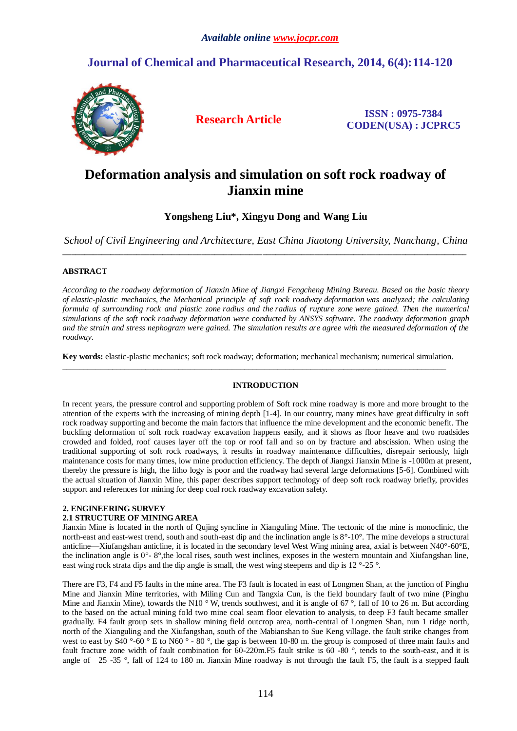# **Journal of Chemical and Pharmaceutical Research, 2014, 6(4):114-120**



**Research Article ISSN : 0975-7384 CODEN(USA) : JCPRC5**

# **Deformation analysis and simulation on soft rock roadway of Jianxin mine**

**Yongsheng Liu\*, Xingyu Dong and Wang Liu**

*School of Civil Engineering and Architecture, East China Jiaotong University, Nanchang, China*  $\_$  ,  $\_$  ,  $\_$  ,  $\_$  ,  $\_$  ,  $\_$  ,  $\_$  ,  $\_$  ,  $\_$  ,  $\_$  ,  $\_$  ,  $\_$  ,  $\_$  ,  $\_$  ,  $\_$  ,  $\_$  ,  $\_$  ,  $\_$  ,  $\_$  ,  $\_$  ,  $\_$  ,  $\_$  ,  $\_$  ,  $\_$  ,  $\_$  ,  $\_$  ,  $\_$  ,  $\_$  ,  $\_$  ,  $\_$  ,  $\_$  ,  $\_$  ,  $\_$  ,  $\_$  ,  $\_$  ,  $\_$  ,  $\_$  ,

# **ABSTRACT**

*According to the roadway deformation of Jianxin Mine of Jiangxi Fengcheng Mining Bureau. Based on the basic theory of elastic-plastic mechanics, the Mechanical principle of soft rock roadway deformation was analyzed; the calculating formula of surrounding rock and plastic zone radius and the radius of rupture zone were gained. Then the numerical simulations of the soft rock roadway deformation were conducted by ANSYS software. The roadway deformation graph and the strain and stress nephogram were gained. The simulation results are agree with the measured deformation of the roadway.*

**Key words:** elastic-plastic mechanics; soft rock roadway; deformation; mechanical mechanism; numerical simulation. \_\_\_\_\_\_\_\_\_\_\_\_\_\_\_\_\_\_\_\_\_\_\_\_\_\_\_\_\_\_\_\_\_\_\_\_\_\_\_\_\_\_\_\_\_\_\_\_\_\_\_\_\_\_\_\_\_\_\_\_\_\_\_\_\_\_\_\_\_\_\_\_\_\_\_\_\_\_\_\_\_\_\_\_\_\_\_\_\_\_\_\_\_

# **INTRODUCTION**

In recent years, the pressure control and supporting problem of Soft rock mine roadway is more and more brought to the attention of the experts with the increasing of mining depth [1-4]. In our country, many mines have great difficulty in soft rock roadway supporting and become the main factors that influence the mine development and the economic benefit. The buckling deformation of soft rock roadway excavation happens easily, and it shows as floor heave and two roadsides crowded and folded, roof causes layer off the top or roof fall and so on by fracture and abscission. When using the traditional supporting of soft rock roadways, it results in roadway maintenance difficulties, disrepair seriously, high maintenance costs for many times, low mine production efficiency. The depth of Jiangxi Jianxin Mine is -1000m at present, thereby the pressure is high, the litho logy is poor and the roadway had several large deformations [5-6]. Combined with the actual situation of Jianxin Mine, this paper describes support technology of deep soft rock roadway briefly, provides support and references for mining for deep coal rock roadway excavation safety.

# **2. ENGINEERING SURVEY**

# **2.1 STRUCTURE OF MINING AREA**

Jianxin Mine is located in the north of Qujing syncline in Xianguling Mine. The tectonic of the mine is monoclinic, the north-east and east-west trend, south and south-east dip and the inclination angle is 8°-10°. The mine develops a structural anticline—Xiufangshan anticline, it is located in the secondary level West Wing mining area, axial is between N40°-60°E, the inclination angle is  $0^\circ$ - 8°, the local rises, south west inclines, exposes in the western mountain and Xiufangshan line, east wing rock strata dips and the dip angle is small, the west wing steepens and dip is 12 $\degree$ -25  $\degree$ .

There are F3, F4 and F5 faults in the mine area. The F3 fault is located in east of Longmen Shan, at the junction of Pinghu Mine and Jianxin Mine territories, with Miling Cun and Tangxia Cun, is the field boundary fault of two mine (Pinghu Mine and Jianxin Mine), towards the N10 °W, trends southwest, and it is angle of 67 °, fall of 10 to 26 m. But according to the based on the actual mining fold two mine coal seam floor elevation to analysis, to deep F3 fault became smaller gradually. F4 fault group sets in shallow mining field outcrop area, north-central of Longmen Shan, nun 1 ridge north, north of the Xianguling and the Xiufangshan, south of the Mabianshan to Sue Keng village. the fault strike changes from west to east by  $\overline{S40}$  °-60 ° E to N60 °-80 °, the gap is between 10-80 m. the group is composed of three main faults and fault fracture zone width of fault combination for 60-220m.F5 fault strike is 60 -80 °, tends to the south-east, and it is angle of 25 -35 °, fall of 124 to 180 m. Jianxin Mine roadway is not through the fault F5, the fault is a stepped fault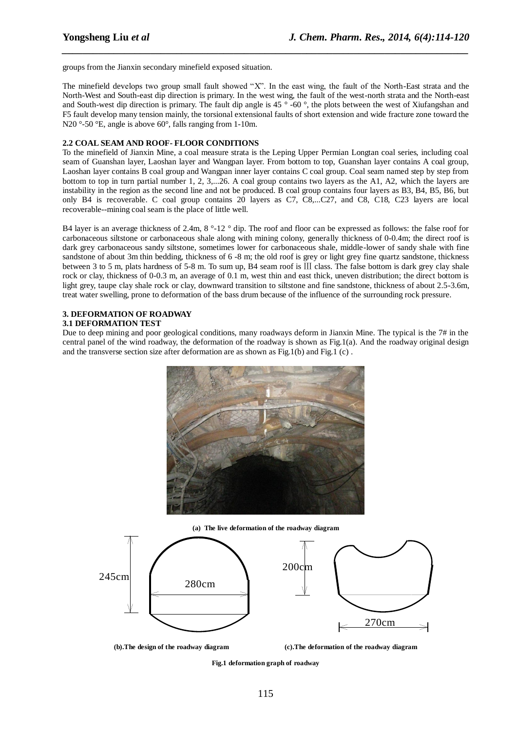groups from the Jianxin secondary minefield exposed situation.

The minefield develops two group small fault showed "X". In the east wing, the fault of the North-East strata and the North-West and South-east dip direction is primary. In the west wing, the fault of the west-north strata and the North-east and South-west dip direction is primary. The fault dip angle is  $45\degree$ -60  $\degree$ , the plots between the west of Xiufangshan and F5 fault develop many tension mainly, the torsional extensional faults of short extension and wide fracture zone toward the N20  $\degree$ 50 °E, angle is above 60 $\degree$ , falls ranging from 1-10m.

*\_\_\_\_\_\_\_\_\_\_\_\_\_\_\_\_\_\_\_\_\_\_\_\_\_\_\_\_\_\_\_\_\_\_\_\_\_\_\_\_\_\_\_\_\_\_\_\_\_\_\_\_\_\_\_\_\_\_\_\_\_\_\_\_\_\_\_\_\_\_\_\_\_\_\_\_\_\_*

## **2.2 COAL SEAM AND ROOF- FLOOR CONDITIONS**

To the minefield of Jianxin Mine, a coal measure strata is the Leping Upper Permian Longtan coal series, including coal seam of Guanshan layer, Laoshan layer and Wangpan layer. From bottom to top, Guanshan layer contains A coal group, Laoshan layer contains B coal group and Wangpan inner layer contains C coal group. Coal seam named step by step from bottom to top in turn partial number 1, 2, 3,...26. A coal group contains two layers as the A1, A2, which the layers are instability in the region as the second line and not be produced. B coal group contains four layers as B3, B4, B5, B6, but only B4 is recoverable. C coal group contains 20 layers as C7, C8,...C27, and C8, C18, C23 layers are local recoverable--mining coal seam is the place of little well.

B4 layer is an average thickness of 2.4m,  $8^{\circ}12^{\circ}$  dip. The roof and floor can be expressed as follows: the false roof for carbonaceous siltstone or carbonaceous shale along with mining colony, generally thickness of 0-0.4m; the direct roof is dark grey carbonaceous sandy siltstone, sometimes lower for carbonaceous shale, middle-lower of sandy shale with fine sandstone of about 3m thin bedding, thickness of 6 -8 m; the old roof is grey or light grey fine quartz sandstone, thickness between 3 to 5 m, plats hardness of 5-8 m. To sum up, B4 seam roof is Ⅲ class. The false bottom is dark grey clay shale rock or clay, thickness of 0-0.3 m, an average of 0.1 m, west thin and east thick, uneven distribution; the direct bottom is light grey, taupe clay shale rock or clay, downward transition to siltstone and fine sandstone, thickness of about 2.5-3.6m. treat water swelling, prone to deformation of the bass drum because of the influence of the surrounding rock pressure.

### **3. DEFORMATION OF ROADWAY 3.1 DEFORMATION TEST**

Due to deep mining and poor geological conditions, many roadways deform in Jianxin Mine. The typical is the 7# in the central panel of the wind roadway, the deformation of the roadway is shown as Fig.1(a). And the roadway original design and the transverse section size after deformation are as shown as Fig.1(b) and Fig.1(c).







**(b).The design of the roadway diagram (c).The deformation of the roadway diagram**

**Fig.1 deformation graph of roadway**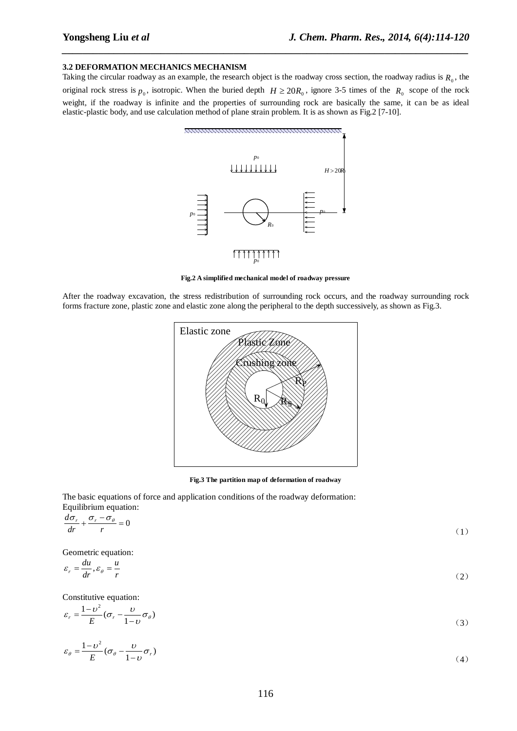### **3.2 DEFORMATION MECHANICS MECHANISM**

Taking the circular roadway as an example, the research object is the roadway cross section, the roadway radius is  $R_0$ , the original rock stress is  $p_0$ , isotropic. When the buried depth  $H \ge 20R_0$ , ignore 3-5 times of the  $R_0$  scope of the rock weight, if the roadway is infinite and the properties of surrounding rock are basically the same, it can be as ideal elastic-plastic body, and use calculation method of plane strain problem. It is as shown as Fig.2 [7-10].

*\_\_\_\_\_\_\_\_\_\_\_\_\_\_\_\_\_\_\_\_\_\_\_\_\_\_\_\_\_\_\_\_\_\_\_\_\_\_\_\_\_\_\_\_\_\_\_\_\_\_\_\_\_\_\_\_\_\_\_\_\_\_\_\_\_\_\_\_\_\_\_\_\_\_\_\_\_\_*



#### **Fig.2 A simplified mechanical model of roadway pressure**

After the roadway excavation, the stress redistribution of surrounding rock occurs, and the roadway surrounding rock forms fracture zone, plastic zone and elastic zone along the peripheral to the depth successively, as shown as Fig.3.



**Fig.3 The partition map of deformation of roadway**

The basic equations of force and application conditions of the roadway deformation: Equilibrium equation:

$$
\frac{d\sigma_r}{dr} + \frac{\sigma_r - \sigma_\theta}{r} = 0\tag{1}
$$

Geometric equation:

$$
\varepsilon_r = \frac{du}{dr}, \varepsilon_\theta = \frac{u}{r} \tag{2}
$$

Constitutive equation:

$$
\varepsilon_r = \frac{1 - \nu^2}{E} (\sigma_r - \frac{\nu}{1 - \nu} \sigma_\theta)
$$
\n(3)

$$
\varepsilon_{\theta} = \frac{1 - \nu^2}{E} (\sigma_{\theta} - \frac{\nu}{1 - \nu} \sigma_r)
$$
\n(4)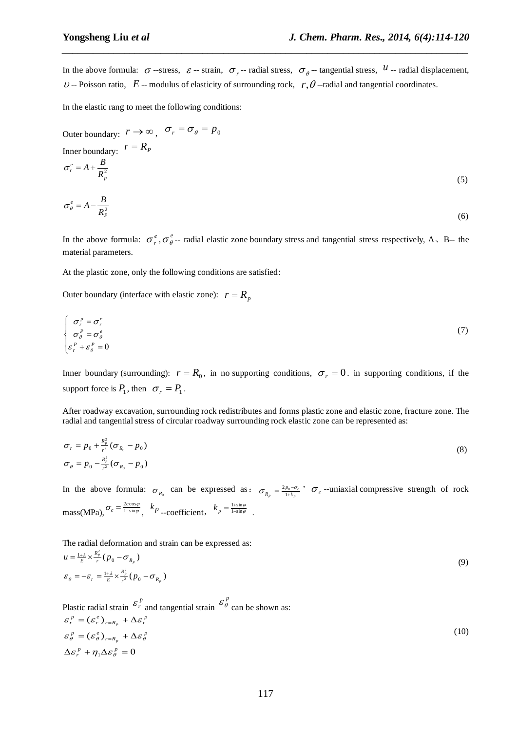*B*

In the above formula:  $\sigma$ -stress,  $\varepsilon$ -strain,  $\sigma_r$ -radial stress,  $\sigma_\theta$ --tangential stress,  $u$ -radial displacement,  $\nu$  -- Poisson ratio,  $E$  -- modulus of elasticity of surrounding rock,  $r, \theta$  --radial and tangential coordinates.

*\_\_\_\_\_\_\_\_\_\_\_\_\_\_\_\_\_\_\_\_\_\_\_\_\_\_\_\_\_\_\_\_\_\_\_\_\_\_\_\_\_\_\_\_\_\_\_\_\_\_\_\_\_\_\_\_\_\_\_\_\_\_\_\_\_\_\_\_\_\_\_\_\_\_\_\_\_\_*

In the elastic rang to meet the following conditions:

Outer boundary: 
$$
r \to \infty
$$
,  $\sigma_r = \sigma_\theta = p_0$   
\nInner boundary:  $r = R_p$   
\n
$$
\sigma_r^e = A + \frac{B}{R_p^2}
$$
\n(5)

$$
\sigma_{\theta}^{e} = A - \frac{B}{R_{P}^{2}}
$$
 (6)

In the above formula:  $\sigma_r^e$ ,  $\sigma_\theta^e$ -- radial elastic zone boundary stress and tangential stress respectively, A, B-- the material parameters.

At the plastic zone, only the following conditions are satisfied:

Outer boundary (interface with elastic zone):  $r = R_p$ 

$$
\begin{cases}\n\sigma_r^p = \sigma_r^e \\
\sigma_\theta^p = \sigma_\theta^e \\
\varepsilon_r^p + \varepsilon_\theta^p = 0\n\end{cases}
$$
\n(7)

Inner boundary (surrounding):  $r = R_0$ , in no supporting conditions,  $\sigma_r = 0$ . in supporting conditions, if the support force is  $P_1$ , then  $\sigma_r = P_1$ .

After roadway excavation, surrounding rock redistributes and forms plastic zone and elastic zone, fracture zone. The radial and tangential stress of circular roadway surrounding rock elastic zone can be represented as:

$$
\sigma_r = p_0 + \frac{R_p^2}{r^2} (\sigma_{R_0} - p_0)
$$
  
\n
$$
\sigma_{\theta} = p_0 - \frac{R_p^2}{r^2} (\sigma_{R_0} - p_0)
$$
\n(8)

In the above formula:  $\sigma_{R_0}$  can be expressed as:  $\sigma_{R_p} = \frac{2p_0 - c}{1 + k_p}$  $c_p = \frac{2p_0 - \sigma_c}{1 + k_p}$  $\sigma_{R_p} = \frac{2p_0 - \sigma_c}{1 + k_p}$ ,  $\sigma_c$  --uniaxial compressive strength of rock mass(MPa),  $\sigma_c = \frac{2c\cos\varphi}{1-\sin\varphi}$ ,  $k_p$  -coefficient,  $k_p = \frac{1+\sin\varphi}{1-\sin\varphi}$ .

The radial deformation and strain can be expressed as:  $\frac{1+\lambda}{E} \times \frac{\kappa_p}{r^2} (p_0 - \sigma_{R_n})$  $\frac{1+\lambda}{E} \times \frac{R_p^2}{r} (p_0 - \sigma_{R_p})$ 2 *p*  $\frac{R_p}{r^2} (p_0 - \sigma_{R_p})$ *p*  $\frac{p_p}{r}$  $(p_0 - \sigma_R)$ *R*  $\varepsilon_{\theta} = -\varepsilon_{r} = \frac{1+\lambda}{E} \times \frac{\kappa_{p}}{r^{2}} (p_{0} - \sigma)$ *R*  $u = \frac{1+\lambda}{E} \times \frac{\kappa_p}{r} (p_0 - \sigma)$ (9)

Plastic radial strain 
$$
\mathcal{E}_r^p
$$
 and tangential strain  $\mathcal{E}_{\theta}^p$  can be shown as:  
\n
$$
\mathcal{E}_r^p = (\mathcal{E}_r^e)_{r=R_p} + \Delta \mathcal{E}_r^p
$$
\n
$$
\mathcal{E}_{\theta}^p = (\mathcal{E}_{\theta}^e)_{r=R_p} + \Delta \mathcal{E}_{\theta}^p
$$
\n
$$
\Delta \mathcal{E}_r^p + \eta_1 \Delta \mathcal{E}_{\theta}^p = 0
$$
\n(10)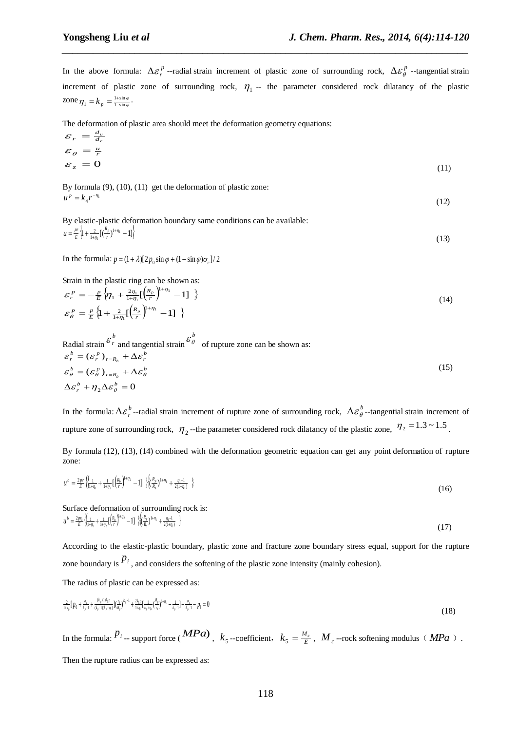In the above formula:  $\Delta \mathcal{E}_r^p$  --radial strain increment of plastic zone of surrounding rock,  $\Delta \mathcal{E}_\theta^p$  --tangential strain increment of plastic zone of surrounding rock,  $\eta_1$  -- the parameter considered rock dilatancy of the plastic zone  $\eta_1 = k_p = \frac{1 + \sin \varphi}{1 - \sin \varphi}$ .

*\_\_\_\_\_\_\_\_\_\_\_\_\_\_\_\_\_\_\_\_\_\_\_\_\_\_\_\_\_\_\_\_\_\_\_\_\_\_\_\_\_\_\_\_\_\_\_\_\_\_\_\_\_\_\_\_\_\_\_\_\_\_\_\_\_\_\_\_\_\_\_\_\_\_\_\_\_\_*

The deformation of plastic area should meet the deformation geometry equations:

$$
\varepsilon_r = \frac{d_u}{d_r}
$$
  
\n
$$
\varepsilon_\theta = \frac{u}{r}
$$
  
\n
$$
\varepsilon_z = 0
$$
\n(11)

By formula  $(9)$ ,  $(10)$ ,  $(11)$  get the deformation of plastic zone:  $u^p = k_4 r^{-n_1}$  $(12)$ 

By elastic-plastic deformation boundary same conditions can be available:  $\left\{1 + \frac{2}{1 + \eta_1} \left[ \left( \frac{r_p}{r} \right)^{1 + \eta_1} - 1 \right] \right\}$  $=\frac{pr}{E}\left\{1+\frac{2}{1+\eta_1}\left[\left(\frac{R_p}{r}\right)^{1+\eta_1}-1\right]\right\}$ *R*  $\mu = \frac{pr}{E} \left\{ 1 + \frac{2}{1 + \eta_1} \left[ \left( \frac{\kappa_p}{r} \right) \right] \right\}$  $(13)$ 

In the formula:  $p = (1 + \lambda)[2p_0 \sin \varphi + (1 - \sin \varphi)\sigma_c]/2$ 

Strain in the plastic ring can be shown as:

$$
\mathcal{E}_r^P = -\frac{p}{E} \left\{ \eta_1 + \frac{2\eta_1}{1+\eta_1} \left[ \frac{R_p}{r} \right]^{1+\eta_1} - 1 \right\} \n\mathcal{E}_\theta^P = \frac{p}{E} \left\{ 1 + \frac{2}{1+\eta_1} \left[ \frac{R_p}{r} \right]^{1+\eta_1} - 1 \right\}
$$
\n(14)

Radial strain 
$$
\mathcal{E}_r^b
$$
 and tangential strain  $\mathcal{E}_{\theta}^b$  of rupture zone can be shown as:

\n
$$
\mathcal{E}_r^b = (\mathcal{E}_r^p)_{r=R_b} + \Delta \mathcal{E}_r^b
$$
\n
$$
\mathcal{E}_{\theta}^b = (\mathcal{E}_{\theta}^p)_{r=R_b} + \Delta \mathcal{E}_{\theta}^b
$$
\n
$$
\Delta \mathcal{E}_r^b + \eta_2 \Delta \mathcal{E}_{\theta}^b = 0
$$
\n(15)

In the formula:  $\Delta \varepsilon_r^b$ -radial strain increment of rupture zone of surrounding rock,  $\Delta \varepsilon_\theta^b$ -tangential strain increment of rupture zone of surrounding rock,  $\eta_2$ -the parameter considered rock dilatancy of the plastic zone,  $\eta_2 = 1.3 \sim 1.5$ .

By formula (12), (13), (14) combined with the deformation geometric equation can get any point deformation of rupture zone:

$$
u^{b} = \frac{2pr}{E} \left\{ \left( \frac{1}{1+\eta_{1}} + \frac{1}{1+\eta_{2}} \left[ \left( \frac{R_{b}}{r} \right)^{1+\eta_{2}} - 1 \right] \right) \right\} \left( \frac{R_{p}}{R_{b}} \right)^{1+\eta_{1}} + \frac{\eta_{1}-1}{2(1+\eta_{1})} \right\}
$$
(16)

Surface deformation of surrounding rock is:  $\left\{\frac{1}{1+\eta_1}+\frac{1}{1+\eta_2}\left[\left(\frac{R_b}{r}\right)^{1+\eta_2}-1\right]\right\}\right\}\left\langle \frac{R_p}{R_b}\right\rangle^{1+\eta_1}+\frac{\eta_1-1}{2(1+\eta_1)}\right\}$  $\frac{2p r_0}{E} \left\{ \frac{1}{1 + \eta_1} + \frac{1}{1 + \eta_2} \right\}$  $\left[\frac{1}{R_b}\right]^{1+\eta_1} + \frac{\eta_1-1}{2(1+\eta_1)}$  $\frac{1}{2}\left\{\frac{1}{1+\eta_1}+\frac{1}{1+\eta_2}\left[\left(\frac{R_b}{r}\right)^{1+\eta_2}-1\right]\right\}\left\{\frac{R_p}{R_b}\right\}^{1+\eta_1}+\frac{\eta_1-1}{2(1+\eta_1)}$  $\frac{1}{\eta_1} + \frac{1}{1+\eta_2} \Bigl[ \frac{R_b}{r} \Bigr]^{1+\eta_2} - 1 \Bigr] \ \ \Bigl\} \Bigl\langle \frac{R_p}{R_b} \Bigr)^{1+\eta_1} + \frac{\eta_1-1}{2(1+\eta_2)}$  $\frac{p}{E} = \frac{2p q_0}{E} \left\{ \frac{1}{1 + \eta_1} + \frac{1}{1 + \eta_2} \left[ \left( \frac{R_b}{r} \right)^{-1/2} - 1 \right] \right\} \left( \frac{R_p}{R_b} \right)^{1 + \eta_1} + \frac{1}{2}$ *R*  $\mu^{b} = \frac{2 p r_0}{E} \left\{ \frac{1}{1 + \eta_1} + \frac{1}{1 + \eta_2} \left[ \left( \frac{R_b}{r} \right) \right] \right\}$ (17)

According to the elastic-plastic boundary, plastic zone and fracture zone boundary stress equal, support for the rupture zone boundary is  $P_i$ , and considers the softening of the plastic zone intensity (mainly cohesion).

The radius of plastic can be expressed as:

$$
\frac{2}{1+k_p} [p_0 + \frac{\sigma_{\epsilon}}{k_p-1} + \frac{(k_p+1)k_p}{(k_p-1)(k_p+ \eta_1)}] (\frac{\eta_0}{k_p})^{k_p-1} + \frac{2k_p p}{1+\eta_1} [\frac{1}{k_p+\eta_1} (\frac{k_p}{\eta_0})^{1+\eta_1} - \frac{1}{k_p-1}] - \frac{\sigma_{\epsilon}}{k_p-1} - p_i = 0
$$
\n(18)

In the formula:  $P_i$  -- support force (*MPa*),  $k_5$ --coefficient,  $k_5 = \frac{M_c}{E}$ ,  $M_c$ --rock softening modulus (*MPa*).

Then the rupture radius can be expressed as: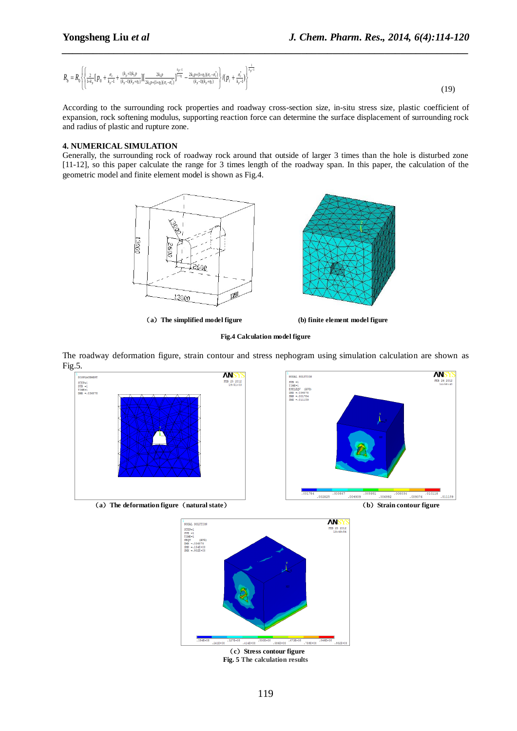$$
R_{b} = R_{0} \left\{ \left\{ \frac{2}{1+k_{p}} \left[ p_{0} + \frac{\sigma_{c}}{k_{p}-1} + \frac{(k_{p}+1)k_{p}p}{(k_{p}-1)(k_{p}+\eta_{1})} \right] \left[ \frac{2k_{p}p}{2k_{p}p+(1+\eta_{1})(\sigma_{c}-\sigma_{c}^{*})} \right]^{1-\eta_{1}} - \frac{2k_{p}p+(1+\eta_{1})(\sigma_{c}-\sigma_{c}^{*})}{(k_{p}-1)(k_{p}+\eta_{1})} \right\} / (p_{i} + \frac{\sigma_{c}^{*}}{k_{p}-1}) \right\}^{1-\eta_{1} - 1} \tag{19}
$$

*\_\_\_\_\_\_\_\_\_\_\_\_\_\_\_\_\_\_\_\_\_\_\_\_\_\_\_\_\_\_\_\_\_\_\_\_\_\_\_\_\_\_\_\_\_\_\_\_\_\_\_\_\_\_\_\_\_\_\_\_\_\_\_\_\_\_\_\_\_\_\_\_\_\_\_\_\_\_*

According to the surrounding rock properties and roadway cross-section size, in-situ stress size, plastic coefficient of expansion, rock softening modulus, supporting reaction force can determine the surface displacement of surrounding rock and radius of plastic and rupture zone.

# **4. NUMERICAL SIMULATION**

Generally, the surrounding rock of roadway rock around that outside of larger 3 times than the hole is disturbed zone [11-12], so this paper calculate the range for 3 times length of the roadway span. In this paper, the calculation of the geometric model and finite element model is shown as Fig.4.



(**a**)**The simplified model figure (b) finite element model figure**

# **Fig.4 Calculation model figure**

The roadway deformation figure, strain contour and stress nephogram using simulation calculation are shown as Fig.5.





**Fig. 5 The calculation results**